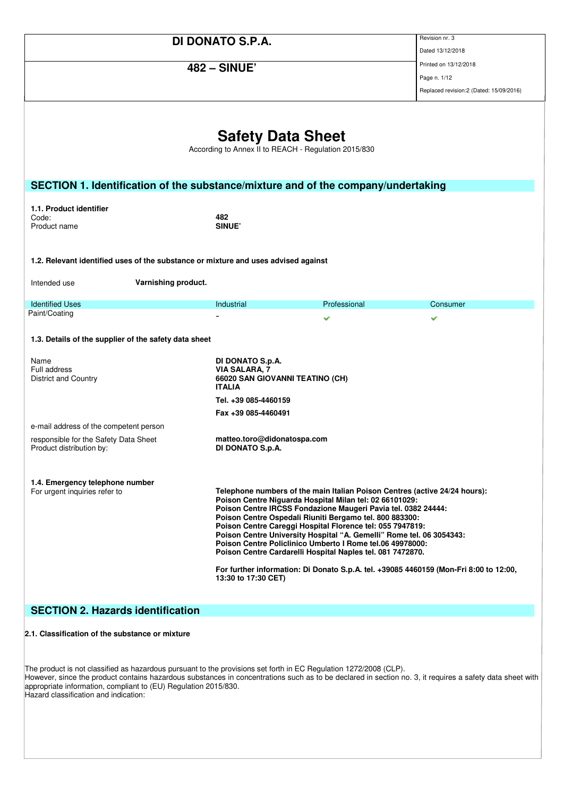|                                                                                                                                                                                                                               |                     |                                                                                                                      |                                                                                                                                                                                                                                                                                                                                                                                                                                                     | Revision nr. 3                                                                                                                                                      |
|-------------------------------------------------------------------------------------------------------------------------------------------------------------------------------------------------------------------------------|---------------------|----------------------------------------------------------------------------------------------------------------------|-----------------------------------------------------------------------------------------------------------------------------------------------------------------------------------------------------------------------------------------------------------------------------------------------------------------------------------------------------------------------------------------------------------------------------------------------------|---------------------------------------------------------------------------------------------------------------------------------------------------------------------|
| DI DONATO S.P.A.                                                                                                                                                                                                              |                     |                                                                                                                      | Dated 13/12/2018                                                                                                                                                                                                                                                                                                                                                                                                                                    |                                                                                                                                                                     |
| <b>482 - SINUE'</b>                                                                                                                                                                                                           |                     |                                                                                                                      |                                                                                                                                                                                                                                                                                                                                                                                                                                                     | Printed on 13/12/2018                                                                                                                                               |
|                                                                                                                                                                                                                               |                     |                                                                                                                      |                                                                                                                                                                                                                                                                                                                                                                                                                                                     | Page n. 1/12                                                                                                                                                        |
|                                                                                                                                                                                                                               |                     |                                                                                                                      |                                                                                                                                                                                                                                                                                                                                                                                                                                                     | Replaced revision:2 (Dated: 15/09/2016)                                                                                                                             |
| SECTION 1. Identification of the substance/mixture and of the company/undertaking<br>1.1. Product identifier                                                                                                                  |                     | <b>Safety Data Sheet</b><br>According to Annex II to REACH - Regulation 2015/830                                     |                                                                                                                                                                                                                                                                                                                                                                                                                                                     |                                                                                                                                                                     |
| Code:<br>Product name                                                                                                                                                                                                         |                     | 482<br><b>SINUE</b>                                                                                                  |                                                                                                                                                                                                                                                                                                                                                                                                                                                     |                                                                                                                                                                     |
| 1.2. Relevant identified uses of the substance or mixture and uses advised against<br>Intended use                                                                                                                            | Varnishing product. |                                                                                                                      |                                                                                                                                                                                                                                                                                                                                                                                                                                                     |                                                                                                                                                                     |
| <b>Identified Uses</b>                                                                                                                                                                                                        |                     | Industrial                                                                                                           | Professional                                                                                                                                                                                                                                                                                                                                                                                                                                        | Consumer                                                                                                                                                            |
| Paint/Coating                                                                                                                                                                                                                 |                     |                                                                                                                      | ✔                                                                                                                                                                                                                                                                                                                                                                                                                                                   | ✔                                                                                                                                                                   |
| 1.3. Details of the supplier of the safety data sheet                                                                                                                                                                         |                     |                                                                                                                      |                                                                                                                                                                                                                                                                                                                                                                                                                                                     |                                                                                                                                                                     |
| Name<br>Full address<br><b>District and Country</b>                                                                                                                                                                           |                     | DI DONATO S.p.A.<br><b>VIA SALARA, 7</b><br>66020 SAN GIOVANNI TEATINO (CH)<br><b>ITALIA</b><br>Tel. +39 085-4460159 |                                                                                                                                                                                                                                                                                                                                                                                                                                                     |                                                                                                                                                                     |
|                                                                                                                                                                                                                               |                     | Fax +39 085-4460491                                                                                                  |                                                                                                                                                                                                                                                                                                                                                                                                                                                     |                                                                                                                                                                     |
| e-mail address of the competent person                                                                                                                                                                                        |                     |                                                                                                                      |                                                                                                                                                                                                                                                                                                                                                                                                                                                     |                                                                                                                                                                     |
| responsible for the Safety Data Sheet<br>Product distribution by:                                                                                                                                                             |                     | matteo.toro@didonatospa.com<br>DI DONATO S.p.A.                                                                      |                                                                                                                                                                                                                                                                                                                                                                                                                                                     |                                                                                                                                                                     |
| 1.4. Emergency telephone number<br>For urgent inquiries refer to                                                                                                                                                              |                     |                                                                                                                      | Poison Centre Niguarda Hospital Milan tel: 02 66101029:<br>Poison Centre IRCSS Fondazione Maugeri Pavia tel. 0382 24444:<br>Poison Centre Ospedali Riuniti Bergamo tel. 800 883300:<br>Poison Centre Careggi Hospital Florence tel: 055 7947819:<br>Poison Centre University Hospital "A. Gemelli" Rome tel. 06 3054343:<br>Poison Centre Policlinico Umberto I Rome tel.06 49978000:<br>Poison Centre Cardarelli Hospital Naples tel. 081 7472870. | Telephone numbers of the main Italian Poison Centres (active 24/24 hours):<br>For further information: Di Donato S.p.A. tel. +39085 4460159 (Mon-Fri 8:00 to 12:00, |
| <b>SECTION 2. Hazards identification</b>                                                                                                                                                                                      |                     | 13:30 to 17:30 CET)                                                                                                  |                                                                                                                                                                                                                                                                                                                                                                                                                                                     |                                                                                                                                                                     |
| 2.1. Classification of the substance or mixture                                                                                                                                                                               |                     |                                                                                                                      |                                                                                                                                                                                                                                                                                                                                                                                                                                                     |                                                                                                                                                                     |
| The product is not classified as hazardous pursuant to the provisions set forth in EC Regulation 1272/2008 (CLP).<br>appropriate information, compliant to (EU) Regulation 2015/830.<br>Hazard classification and indication: |                     |                                                                                                                      |                                                                                                                                                                                                                                                                                                                                                                                                                                                     | However, since the product contains hazardous substances in concentrations such as to be declared in section no. 3, it requires a safety data sheet with            |

ssification and indication: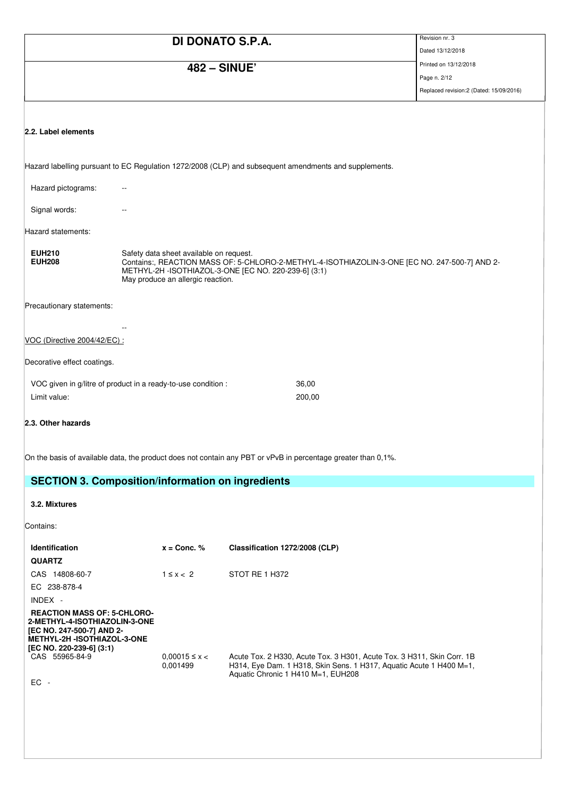|                                | DI DONATO S.P.A.                                                                                                                                                                                                                       |                                | Revision nr. 3                          |
|--------------------------------|----------------------------------------------------------------------------------------------------------------------------------------------------------------------------------------------------------------------------------------|--------------------------------|-----------------------------------------|
|                                |                                                                                                                                                                                                                                        |                                | Dated 13/12/2018                        |
|                                | <b>482 - SINUE'</b>                                                                                                                                                                                                                    |                                | Printed on 13/12/2018                   |
|                                |                                                                                                                                                                                                                                        |                                | Page n. 2/12                            |
|                                |                                                                                                                                                                                                                                        |                                | Replaced revision:2 (Dated: 15/09/2016) |
|                                |                                                                                                                                                                                                                                        |                                |                                         |
| 2.2. Label elements            |                                                                                                                                                                                                                                        |                                |                                         |
|                                | Hazard labelling pursuant to EC Regulation 1272/2008 (CLP) and subsequent amendments and supplements.                                                                                                                                  |                                |                                         |
| Hazard pictograms:             |                                                                                                                                                                                                                                        |                                |                                         |
| Signal words:                  |                                                                                                                                                                                                                                        |                                |                                         |
| Hazard statements:             |                                                                                                                                                                                                                                        |                                |                                         |
| <b>EUH210</b><br><b>EUH208</b> | Safety data sheet available on request.<br>Contains:, REACTION MASS OF: 5-CHLORO-2-METHYL-4-ISOTHIAZOLIN-3-ONE [EC NO. 247-500-7] AND 2-<br>METHYL-2H - ISOTHIAZOL-3-ONE [EC NO. 220-239-6] (3:1)<br>May produce an allergic reaction. |                                |                                         |
| Precautionary statements:      |                                                                                                                                                                                                                                        |                                |                                         |
|                                |                                                                                                                                                                                                                                        |                                |                                         |
| VOC (Directive 2004/42/EC) :   |                                                                                                                                                                                                                                        |                                |                                         |
| Decorative effect coatings.    |                                                                                                                                                                                                                                        |                                |                                         |
|                                | VOC given in g/litre of product in a ready-to-use condition :                                                                                                                                                                          | 36,00                          |                                         |
| Limit value:                   |                                                                                                                                                                                                                                        | 200,00                         |                                         |
| 2.3. Other hazards             |                                                                                                                                                                                                                                        |                                |                                         |
|                                | On the basis of available data, the product does not contain any PBT or vPvB in percentage greater than 0,1%.                                                                                                                          |                                |                                         |
|                                | <b>SECTION 3. Composition/information on ingredients</b>                                                                                                                                                                               |                                |                                         |
| 3.2. Mixtures                  |                                                                                                                                                                                                                                        |                                |                                         |
| Contains:                      |                                                                                                                                                                                                                                        |                                |                                         |
| Identification                 | $x =$ Conc. %                                                                                                                                                                                                                          | Classification 1272/2008 (CLP) |                                         |

| <b>QUARTZ</b>                                                                                                                                                      |                               |                                                                                                                                                                                     |
|--------------------------------------------------------------------------------------------------------------------------------------------------------------------|-------------------------------|-------------------------------------------------------------------------------------------------------------------------------------------------------------------------------------|
| CAS 14808-60-7                                                                                                                                                     | $1 \leq x < 2$                | STOT RE 1 H372                                                                                                                                                                      |
| EC 238-878-4                                                                                                                                                       |                               |                                                                                                                                                                                     |
| $INDEX -$                                                                                                                                                          |                               |                                                                                                                                                                                     |
| <b>REACTION MASS OF: 5-CHLORO-</b><br>2-METHYL-4-ISOTHIAZOLIN-3-ONE<br>[EC NO. 247-500-7] AND 2-<br><b>METHYL-2H -ISOTHIAZOL-3-ONE</b><br>[EC NO. 220-239-6] (3:1) |                               |                                                                                                                                                                                     |
| CAS 55965-84-9                                                                                                                                                     | $0.00015 \le x <$<br>0.001499 | Acute Tox. 2 H330, Acute Tox. 3 H301, Acute Tox. 3 H311, Skin Corr. 1B<br>H314, Eye Dam. 1 H318, Skin Sens. 1 H317, Aquatic Acute 1 H400 M=1,<br>Aquatic Chronic 1 H410 M=1, EUH208 |
| $EC -$                                                                                                                                                             |                               |                                                                                                                                                                                     |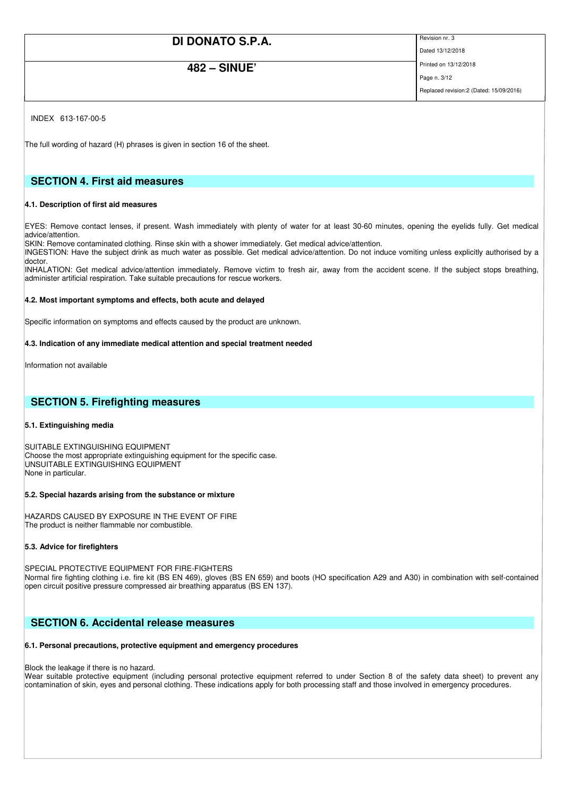## **482 – SINUE'**

Dated 13/12/2018 Printed on 13/12/2018

Page n. 3/12

Replaced revision:2 (Dated: 15/09/2016)

INDEX 613-167-00-5

The full wording of hazard (H) phrases is given in section 16 of the sheet.

### **SECTION 4. First aid measures**

#### **4.1. Description of first aid measures**

EYES: Remove contact lenses, if present. Wash immediately with plenty of water for at least 30-60 minutes, opening the eyelids fully. Get medical advice/attention.

SKIN: Remove contaminated clothing. Rinse skin with a shower immediately. Get medical advice/attention.

INGESTION: Have the subject drink as much water as possible. Get medical advice/attention. Do not induce vomiting unless explicitly authorised by a doctor.

INHALATION: Get medical advice/attention immediately. Remove victim to fresh air, away from the accident scene. If the subject stops breathing, administer artificial respiration. Take suitable precautions for rescue workers.

#### **4.2. Most important symptoms and effects, both acute and delayed**

Specific information on symptoms and effects caused by the product are unknown.

#### **4.3. Indication of any immediate medical attention and special treatment needed**

Information not available

### **SECTION 5. Firefighting measures**

#### **5.1. Extinguishing media**

SUITABLE EXTINGUISHING EQUIPMENT Choose the most appropriate extinguishing equipment for the specific case. UNSUITABLE EXTINGUISHING EQUIPMENT None in particular.

#### **5.2. Special hazards arising from the substance or mixture**

HAZARDS CAUSED BY EXPOSURE IN THE EVENT OF FIRE The product is neither flammable nor combustible.

#### **5.3. Advice for firefighters**

SPECIAL PROTECTIVE EQUIPMENT FOR FIRE-FIGHTERS Normal fire fighting clothing i.e. fire kit (BS EN 469), gloves (BS EN 659) and boots (HO specification A29 and A30) in combination with self-contained open circuit positive pressure compressed air breathing apparatus (BS EN 137).

### **SECTION 6. Accidental release measures**

#### **6.1. Personal precautions, protective equipment and emergency procedures**

Block the leakage if there is no hazard.

Wear suitable protective equipment (including personal protective equipment referred to under Section 8 of the safety data sheet) to prevent any contamination of skin, eyes and personal clothing. These indications apply for both processing staff and those involved in emergency procedures.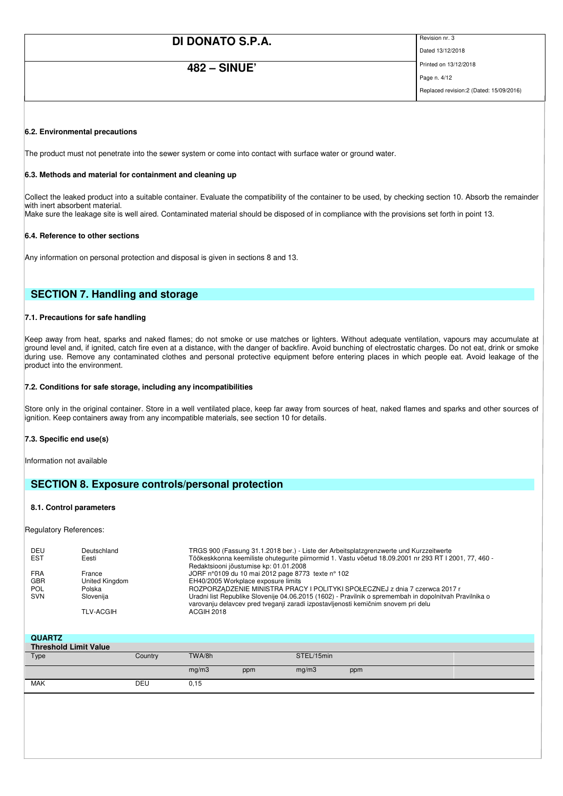## **482 – SINUE'**

Dated 13/12/2018

Printed on 13/12/2018 Page n. 4/12

Replaced revision:2 (Dated: 15/09/2016)

#### **6.2. Environmental precautions**

The product must not penetrate into the sewer system or come into contact with surface water or ground water.

#### **6.3. Methods and material for containment and cleaning up**

Collect the leaked product into a suitable container. Evaluate the compatibility of the container to be used, by checking section 10. Absorb the remainder with inert absorbent material. Make sure the leakage site is well aired. Contaminated material should be disposed of in compliance with the provisions set forth in point 13.

#### **6.4. Reference to other sections**

Any information on personal protection and disposal is given in sections 8 and 13.

### **SECTION 7. Handling and storage**

#### **7.1. Precautions for safe handling**

Keep away from heat, sparks and naked flames; do not smoke or use matches or lighters. Without adequate ventilation, vapours may accumulate at ground level and, if ignited, catch fire even at a distance, with the danger of backfire. Avoid bunching of electrostatic charges. Do not eat, drink or smoke during use. Remove any contaminated clothes and personal protective equipment before entering places in which people eat. Avoid leakage of the product into the environment.

#### **7.2. Conditions for safe storage, including any incompatibilities**

Store only in the original container. Store in a well ventilated place, keep far away from sources of heat, naked flames and sparks and other sources of ignition. Keep containers away from any incompatible materials, see section 10 for details.

#### **7.3. Specific end use(s)**

Information not available

### **SECTION 8. Exposure controls/personal protection**

#### **8.1. Control parameters**

Regulatory References:

| DEU<br><b>EST</b> | Deutschland<br>Eesti | TRGS 900 (Fassung 31.1.2018 ber.) - Liste der Arbeitsplatzgrenzwerte und Kurzzeitwerte<br>Töökeskkonna keemiliste ohutegurite piirnormid 1. Vastu võetud 18.09.2001 nr 293 RT I 2001, 77, 460 - |
|-------------------|----------------------|-------------------------------------------------------------------------------------------------------------------------------------------------------------------------------------------------|
| <b>FRA</b>        | France               | Redaktsiooni jõustumise kp: 01.01.2008<br>JORF n°0109 du 10 mai 2012 page 8773 texte n° 102                                                                                                     |
| <b>GBR</b>        | United Kingdom       | EH40/2005 Workplace exposure limits                                                                                                                                                             |
| <b>POL</b>        | Polska               | ROZPORZĄDZENIE MINISTRA PRACY I POLITYKI SPOŁECZNEJ z dnia 7 czerwca 2017 r                                                                                                                     |
| <b>SVN</b>        | Slovenija            | Uradni list Republike Slovenije 04.06.2015 (1602) - Pravilnik o spremembah in dopolnitvah Pravilnika o<br>varovanju delavcev pred tveganji zaradi izpostavljenosti kemičnim snovem pri delu     |
|                   | <b>TLV-ACGIH</b>     | ACGIH 2018                                                                                                                                                                                      |

| <b>QUARTZ</b>                |         |        |     |            |     |
|------------------------------|---------|--------|-----|------------|-----|
| <b>Threshold Limit Value</b> |         |        |     |            |     |
| Type                         | Country | TWA/8h |     | STEL/15min |     |
|                              |         | mg/m3  | ppm | mg/m3      | ppm |
| <b>MAK</b>                   | DEU     | 0, 15  |     |            |     |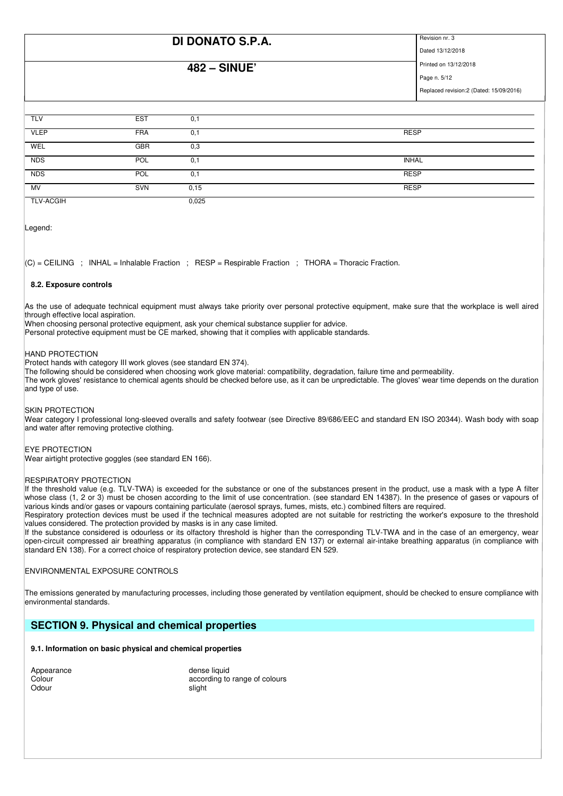### **482 – SINUE'**

Dated 13/12/2018

Printed on 13/12/2018 Page n. 5/12

Replaced revision:2 (Dated: 15/09/2016)

| <b>TLV</b>       | <b>EST</b> | 0,1   |              |
|------------------|------------|-------|--------------|
| <b>VLEP</b>      | <b>FRA</b> | 0,1   | <b>RESP</b>  |
| WEL              | <b>GBR</b> | 0,3   |              |
| <b>NDS</b>       | POL        | 0,1   | <b>INHAL</b> |
| <b>NDS</b>       | POL        | 0,1   | <b>RESP</b>  |
| MV               | <b>SVN</b> | 0,15  | <b>RESP</b>  |
| <b>TLV-ACGIH</b> |            | 0,025 |              |

Legend:

 $|C|$  = CEILING ; INHAL = Inhalable Fraction ; RESP = Respirable Fraction ; THORA = Thoracic Fraction.

#### **8.2. Exposure controls**

As the use of adequate technical equipment must always take priority over personal protective equipment, make sure that the workplace is well aired through effective local aspiration.

When choosing personal protective equipment, ask your chemical substance supplier for advice.

Personal protective equipment must be CE marked, showing that it complies with applicable standards.

#### HAND PROTECTION

Protect hands with category III work gloves (see standard EN 374).

The following should be considered when choosing work glove material: compatibility, degradation, failure time and permeability.

The work gloves' resistance to chemical agents should be checked before use, as it can be unpredictable. The gloves' wear time depends on the duration and type of use.

#### SKIN PROTECTION

Wear category I professional long-sleeved overalls and safety footwear (see Directive 89/686/EEC and standard EN ISO 20344). Wash body with soap and water after removing protective clothing.

#### EYE PROTECTION

Wear airtight protective goggles (see standard EN 166).

#### RESPIRATORY PROTECTION

If the threshold value (e.g. TLV-TWA) is exceeded for the substance or one of the substances present in the product, use a mask with a type A filter whose class (1, 2 or 3) must be chosen according to the limit of use concentration. (see standard EN 14387). In the presence of gases or vapours of various kinds and/or gases or vapours containing particulate (aerosol sprays, fumes, mists, etc.) combined filters are required.

Respiratory protection devices must be used if the technical measures adopted are not suitable for restricting the worker's exposure to the threshold values considered. The protection provided by masks is in any case limited.

If the substance considered is odourless or its olfactory threshold is higher than the corresponding TLV-TWA and in the case of an emergency, wear open-circuit compressed air breathing apparatus (in compliance with standard EN 137) or external air-intake breathing apparatus (in compliance with standard EN 138). For a correct choice of respiratory protection device, see standard EN 529.

#### ENVIRONMENTAL EXPOSURE CONTROLS

The emissions generated by manufacturing processes, including those generated by ventilation equipment, should be checked to ensure compliance with environmental standards.

### **SECTION 9. Physical and chemical properties**

#### **9.1. Information on basic physical and chemical properties**

| Appearance | dens   |
|------------|--------|
| Colour     | accor  |
| Odour      | slight |

e and a property of the dense liquid according to range of colours<br>slight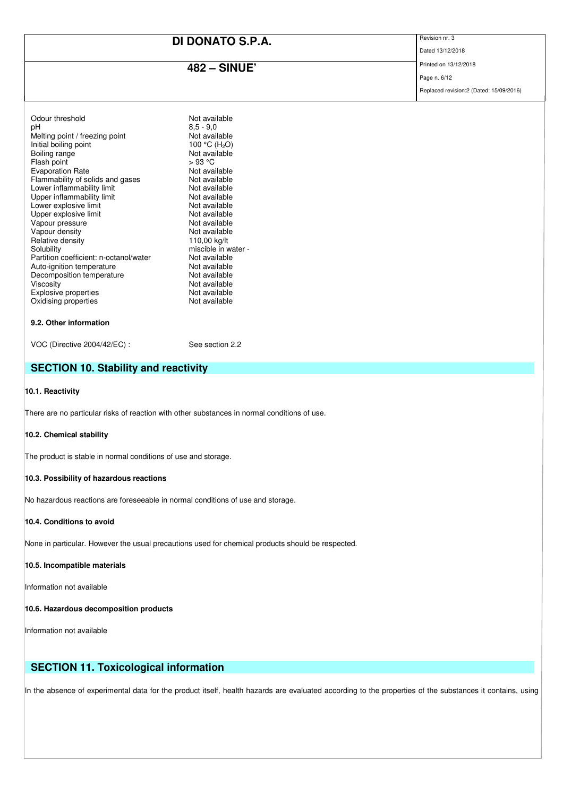## **482 – SINUE'**

Dated 13/12/2018

Printed on 13/12/2018 Page n. 6/12

Replaced revision:2 (Dated: 15/09/2016)

| Odour threshold                        | Not available             |
|----------------------------------------|---------------------------|
| рH                                     | $8.5 - 9.0$               |
| Melting point / freezing point         | Not available             |
| Initial boiling point                  | 100 °C (H <sub>2</sub> O) |
| Boiling range                          | Not available             |
| Flash point                            | > 93 °C                   |
| <b>Evaporation Rate</b>                | Not available             |
| Flammability of solids and gases       | Not available             |
| Lower inflammability limit             | Not available             |
| Upper inflammability limit             | Not available             |
| Lower explosive limit                  | Not available             |
| Upper explosive limit                  | Not available             |
| Vapour pressure                        | Not available             |
| Vapour density                         | Not available             |
| Relative density                       | 110,00 kg/lt              |
| Solubility                             | miscible in water -       |
| Partition coefficient: n-octanol/water | Not available             |
| Auto-ignition temperature              | Not available             |
| Decomposition temperature              | Not available             |
| Viscosity                              | Not available             |
| Explosive properties                   | Not available             |
| Oxidising properties                   | Not available             |
|                                        |                           |
| 9.2. Other information                 |                           |

VOC (Directive 2004/42/EC) : See section 2.2

### **SECTION 10. Stability and reactivity**

#### **10.1. Reactivity**

There are no particular risks of reaction with other substances in normal conditions of use.

#### **10.2. Chemical stability**

The product is stable in normal conditions of use and storage.

#### **10.3. Possibility of hazardous reactions**

No hazardous reactions are foreseeable in normal conditions of use and storage.

#### **10.4. Conditions to avoid**

None in particular. However the usual precautions used for chemical products should be respected.

#### **10.5. Incompatible materials**

Information not available

#### **10.6. Hazardous decomposition products**

Information not available

## **SECTION 11. Toxicological information**

In the absence of experimental data for the product itself, health hazards are evaluated according to the properties of the substances it contains, using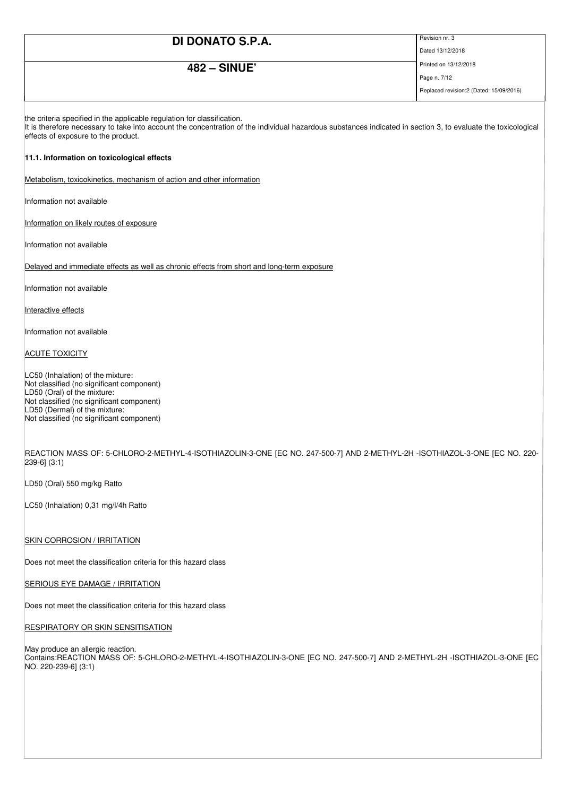## **482 – SINUE'**

Dated 13/12/2018

Printed on 13/12/2018 Page n. 7/12

Replaced revision:2 (Dated: 15/09/2016)

the criteria specified in the applicable regulation for classification.

It is therefore necessary to take into account the concentration of the individual hazardous substances indicated in section 3, to evaluate the toxicological effects of exposure to the product.

#### **11.1. Information on toxicological effects**

Metabolism, toxicokinetics, mechanism of action and other information

Information not available

Information on likely routes of exposure

Information not available

Delayed and immediate effects as well as chronic effects from short and long-term exposure

Information not available

Interactive effects

Information not available

#### **ACUTE TOXICITY**

LC50 (Inhalation) of the mixture: Not classified (no significant component) LD50 (Oral) of the mixture: Not classified (no significant component) LD50 (Dermal) of the mixture: Not classified (no significant component)

REACTION MASS OF: 5-CHLORO-2-METHYL-4-ISOTHIAZOLIN-3-ONE [EC NO. 247-500-7] AND 2-METHYL-2H -ISOTHIAZOL-3-ONE [EC NO. 220- 239-6] (3:1)

LD50 (Oral) 550 mg/kg Ratto

LC50 (Inhalation) 0,31 mg/l/4h Ratto

SKIN CORROSION / IRRITATION

Does not meet the classification criteria for this hazard class

SERIOUS EYE DAMAGE / IRRITATION

Does not meet the classification criteria for this hazard class

**RESPIRATORY OR SKIN SENSITISATION** 

May produce an allergic reaction. Contains:REACTION MASS OF: 5-CHLORO-2-METHYL-4-ISOTHIAZOLIN-3-ONE [EC NO. 247-500-7] AND 2-METHYL-2H -ISOTHIAZOL-3-ONE [EC NO. 220-239-6] (3:1)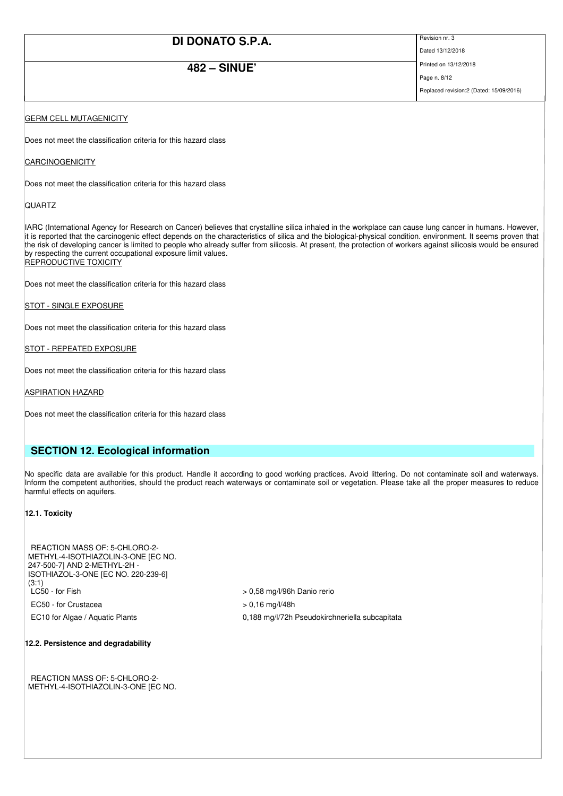## **482 – SINUE'**

Dated 13/12/2018 Printed on 13/12/2018

Page n. 8/12

Replaced revision:2 (Dated: 15/09/2016)

### **GERM CELL MUTAGENICITY**

Does not meet the classification criteria for this hazard class

#### CARCINOGENICITY

Does not meet the classification criteria for this hazard class

#### **QUARTZ**

IARC (International Agency for Research on Cancer) believes that crystalline silica inhaled in the workplace can cause lung cancer in humans. However, it is reported that the carcinogenic effect depends on the characteristics of silica and the biological-physical condition. environment. It seems proven that the risk of developing cancer is limited to people who already suffer from silicosis. At present, the protection of workers against silicosis would be ensured by respecting the current occupational exposure limit values. **REPRODUCTIVE TOXICITY** 

Does not meet the classification criteria for this hazard class

STOT - SINGLE EXPOSURE

Does not meet the classification criteria for this hazard class

STOT - REPEATED EXPOSURE

Does not meet the classification criteria for this hazard class

#### ASPIRATION HAZARD

Does not meet the classification criteria for this hazard class

### **SECTION 12. Ecological information**

No specific data are available for this product. Handle it according to good working practices. Avoid littering. Do not contaminate soil and waterways. Inform the competent authorities, should the product reach waterways or contaminate soil or vegetation. Please take all the proper measures to reduce harmful effects on aquifers.

#### **12.1. Toxicity**

| REACTION MASS OF: 5-CHLORO-2-       |
|-------------------------------------|
| METHYL-4-ISOTHIAZOLIN-3-ONE [EC NO. |
| 247-500-7] AND 2-METHYL-2H -        |
| ISOTHIAZOL-3-ONE [EC NO. 220-239-6] |
| (3:1)                               |
| LC50 - for Fish                     |
| EC50 - for Crustacea                |
| $\overline{a}$                      |

 $> 0.58$  mg/l/96h Danio rerio

- $> 0,16$  mg/l/48h
- EC10 for Algae / Aquatic Plants 0,188 mg/l/72h Pseudokirchneriella subcapitata

#### **12.2. Persistence and degradability**

REACTION MASS OF: 5-CHLORO-2- METHYL-4-ISOTHIAZOLIN-3-ONE [EC NO.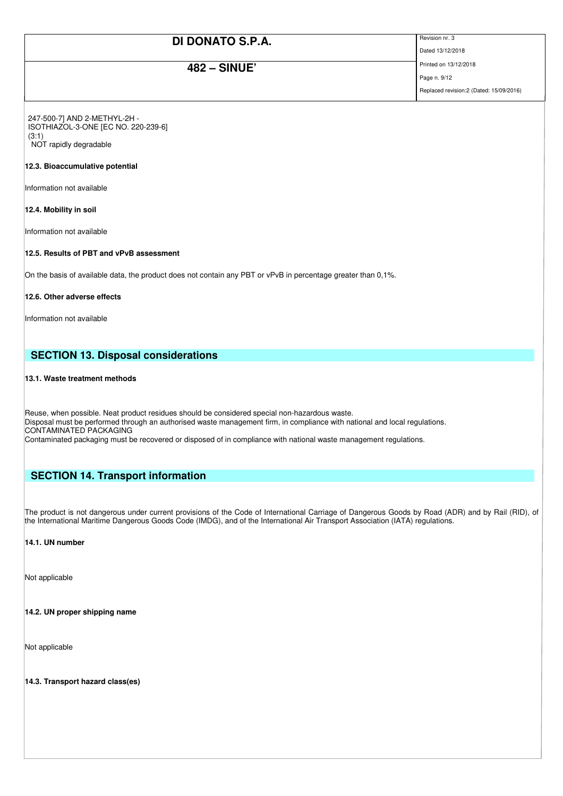## **482 – SINUE'**

Dated 13/12/2018

Printed on 13/12/2018 Page n. 9/12

Replaced revision:2 (Dated: 15/09/2016)

247-500-7] AND 2-METHYL-2H - ISOTHIAZOL-3-ONE [EC NO. 220-239-6] (3:1) NOT rapidly degradable

#### **12.3. Bioaccumulative potential**

Information not available

#### **12.4. Mobility in soil**

Information not available

#### **12.5. Results of PBT and vPvB assessment**

On the basis of available data, the product does not contain any PBT or vPvB in percentage greater than 0,1%.

#### **12.6. Other adverse effects**

Information not available

### **SECTION 13. Disposal considerations**

#### **13.1. Waste treatment methods**

Reuse, when possible. Neat product residues should be considered special non-hazardous waste. Disposal must be performed through an authorised waste management firm, in compliance with national and local regulations. CONTAMINATED PACKAGING

## Contaminated packaging must be recovered or disposed of in compliance with national waste management regulations.

### **SECTION 14. Transport information**

The product is not dangerous under current provisions of the Code of International Carriage of Dangerous Goods by Road (ADR) and by Rail (RID), of the International Maritime Dangerous Goods Code (IMDG), and of the International Air Transport Association (IATA) regulations.

#### **14.1. UN number**

Not applicable

**14.2. UN proper shipping name** 

Not applicable

**14.3. Transport hazard class(es)**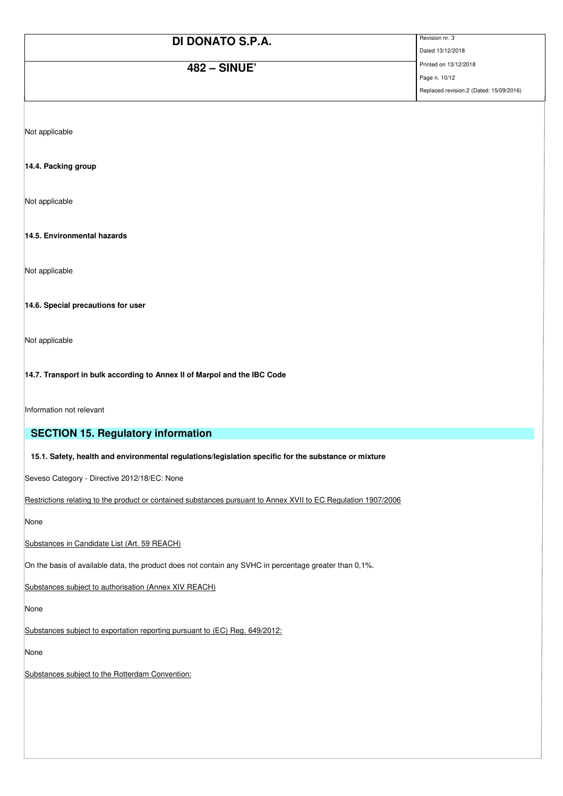| DI DONATO S.P.A.    | Revision nr. 3                           |
|---------------------|------------------------------------------|
|                     | Dated 13/12/2018                         |
| <b>482 - SINUE'</b> | Printed on 13/12/2018                    |
|                     | Page n. 10/12                            |
|                     | Replaced revision: 2 (Dated: 15/09/2016) |

Not applicable

#### **14.4. Packing group**

Not applicable

**14.5. Environmental hazards** 

Not applicable

**14.6. Special precautions for user** 

Not applicable

**14.7. Transport in bulk according to Annex II of Marpol and the IBC Code** 

Information not relevant

### **SECTION 15. Regulatory information**

**15.1. Safety, health and environmental regulations/legislation specific for the substance or mixture**

Seveso Category - Directive 2012/18/EC: None

Restrictions relating to the product or contained substances pursuant to Annex XVII to EC Regulation 1907/2006

None

Substances in Candidate List (Art. 59 REACH)

On the basis of available data, the product does not contain any SVHC in percentage greater than 0,1%.

Substances subject to authorisation (Annex XIV REACH)

None

Substances subject to exportation reporting pursuant to (EC) Reg. 649/2012:

None

Substances subject to the Rotterdam Convention: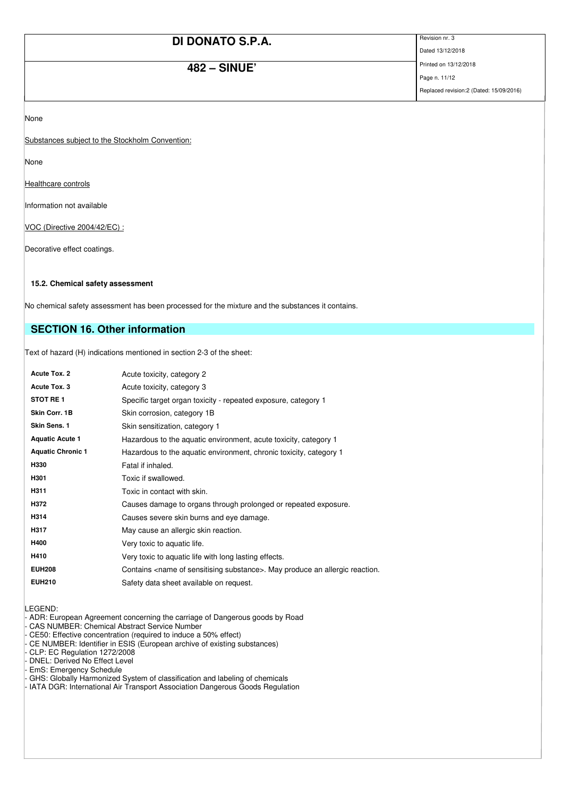## **482 – SINUE'**

Dated 13/12/2018

Printed on 13/12/2018 Page n. 11/12

Replaced revision:2 (Dated: 15/09/2016)

None

Substances subject to the Stockholm Convention:

None

Healthcare controls

Information not available

VOC (Directive 2004/42/EC) :

Decorative effect coatings.

#### **15.2. Chemical safety assessment**

No chemical safety assessment has been processed for the mixture and the substances it contains.

## **SECTION 16. Other information**

Text of hazard (H) indications mentioned in section 2-3 of the sheet:

| <b>Acute Tox. 2</b>      | Acute toxicity, category 2                                                                  |
|--------------------------|---------------------------------------------------------------------------------------------|
| Acute Tox. 3             | Acute toxicity, category 3                                                                  |
| <b>STOT RE1</b>          | Specific target organ toxicity - repeated exposure, category 1                              |
| Skin Corr. 1B            | Skin corrosion, category 1B                                                                 |
| Skin Sens. 1             | Skin sensitization, category 1                                                              |
| <b>Aquatic Acute 1</b>   | Hazardous to the aquatic environment, acute toxicity, category 1                            |
| <b>Aquatic Chronic 1</b> | Hazardous to the aquatic environment, chronic toxicity, category 1                          |
| H330                     | Fatal if inhaled.                                                                           |
| H301                     | Toxic if swallowed.                                                                         |
| H311                     | Toxic in contact with skin.                                                                 |
| H372                     | Causes damage to organs through prolonged or repeated exposure.                             |
| H314                     | Causes severe skin burns and eye damage.                                                    |
| H317                     | May cause an allergic skin reaction.                                                        |
| H400                     | Very toxic to aquatic life.                                                                 |
| H410                     | Very toxic to aquatic life with long lasting effects.                                       |
| <b>EUH208</b>            | Contains <name of="" sensitising="" substance="">. May produce an allergic reaction.</name> |
| <b>EUH210</b>            | Safety data sheet available on request.                                                     |

LEGEND:

- ADR: European Agreement concerning the carriage of Dangerous goods by Road

CAS NUMBER: Chemical Abstract Service Number

- CE50: Effective concentration (required to induce a 50% effect)

- CE NUMBER: Identifier in ESIS (European archive of existing substances)

CLP: EC Regulation 1272/2008

DNEL: Derived No Effect Level

EmS: Emergency Schedule

- GHS: Globally Harmonized System of classification and labeling of chemicals

- IATA DGR: International Air Transport Association Dangerous Goods Regulation